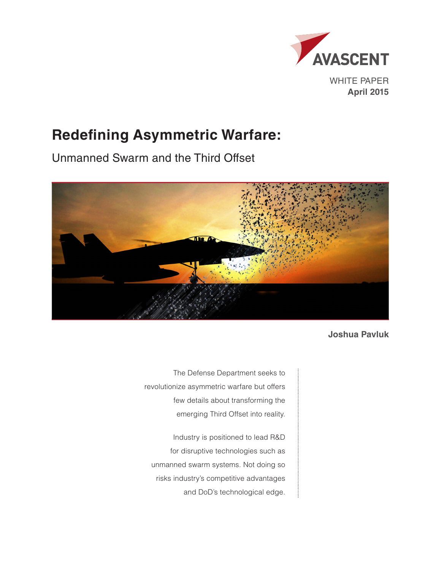

# **Redefining Asymmetric Warfare:**

Unmanned Swarm and the Third Offset



**Joshua Pavluk**

The Defense Department seeks to revolutionize asymmetric warfare but offers few details about transforming the emerging Third Offset into reality.

Industry is positioned to lead R&D for disruptive technologies such as unmanned swarm systems. Not doing so risks industry's competitive advantages and DoD's technological edge.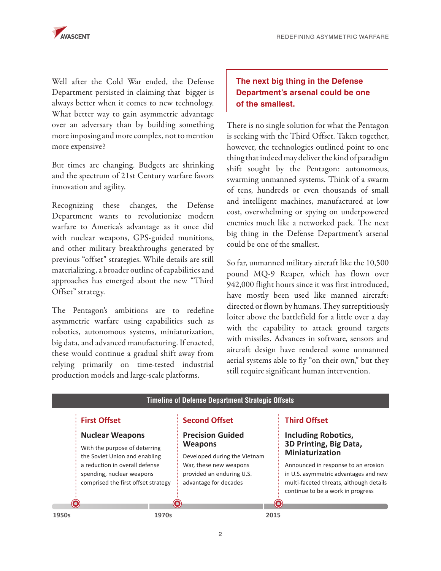

Well after the Cold War ended, the Defense Department persisted in claiming that bigger is always better when it comes to new technology. What better way to gain asymmetric advantage over an adversary than by building something more imposing and more complex, not to mention more expensive?

But times are changing. Budgets are shrinking and the spectrum of 21st Century warfare favors innovation and agility.

Recognizing these changes, the Defense Department wants to revolutionize modern warfare to America's advantage as it once did with nuclear weapons, GPS-guided munitions, and other military breakthroughs generated by previous "offset" strategies. While details are still materializing, a broader outline of capabilities and approaches has emerged about the new "Third Offset" strategy.

The Pentagon's ambitions are to redefine asymmetric warfare using capabilities such as robotics, autonomous systems, miniaturization, big data, and advanced manufacturing. If enacted, these would continue a gradual shift away from relying primarily on time-tested industrial production models and large-scale platforms.

# **The next big thing in the Defense Department's arsenal could be one of the smallest.**

There is no single solution for what the Pentagon is seeking with the Third Offset. Taken together, however, the technologies outlined point to one thing that indeed may deliver the kind of paradigm shift sought by the Pentagon: autonomous, swarming unmanned systems. Think of a swarm of tens, hundreds or even thousands of small and intelligent machines, manufactured at low cost, overwhelming or spying on underpowered enemies much like a networked pack. The next big thing in the Defense Department's arsenal could be one of the smallest.

So far, unmanned military aircraft like the 10,500 pound MQ-9 Reaper, which has flown over 942,000 flight hours since it was first introduced, have mostly been used like manned aircraft: directed or flown by humans. They surreptitiously loiter above the battlefield for a little over a day with the capability to attack ground targets with missiles. Advances in software, sensors and aircraft design have rendered some unmanned aerial systems able to fly "on their own," but they still require significant human intervention.

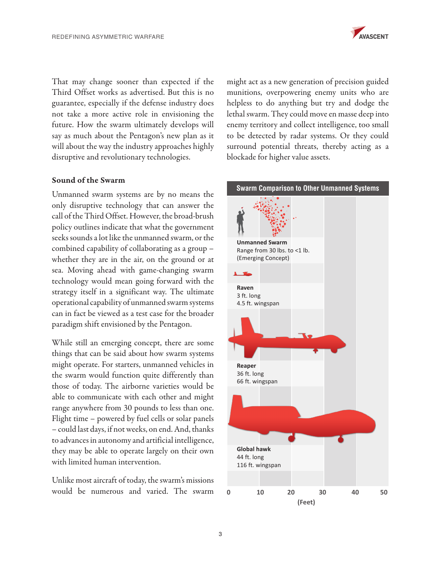

That may change sooner than expected if the Third Offset works as advertised. But this is no guarantee, especially if the defense industry does not take a more active role in envisioning the future. How the swarm ultimately develops will say as much about the Pentagon's new plan as it will about the way the industry approaches highly disruptive and revolutionary technologies.

### Sound of the Swarm

Unmanned swarm systems are by no means the only disruptive technology that can answer the call of the Third Offset. However, the broad-brush policy outlines indicate that what the government seeks sounds a lot like the unmanned swarm, or the combined capability of collaborating as a group – whether they are in the air, on the ground or at sea. Moving ahead with game-changing swarm technology would mean going forward with the strategy itself in a significant way. The ultimate operational capability of unmanned swarm systems can in fact be viewed as a test case for the broader paradigm shift envisioned by the Pentagon.

While still an emerging concept, there are some things that can be said about how swarm systems might operate. For starters, unmanned vehicles in the swarm would function quite differently than those of today. The airborne varieties would be able to communicate with each other and might range anywhere from 30 pounds to less than one. Flight time – powered by fuel cells or solar panels – could last days, if not weeks, on end. And, thanks to advances in autonomy and artificial intelligence, they may be able to operate largely on their own with limited human intervention.

Unlike most aircraft of today, the swarm's missions would be numerous and varied. The swarm

might act as a new generation of precision guided munitions, overpowering enemy units who are helpless to do anything but try and dodge the lethal swarm. They could move en masse deep into enemy territory and collect intelligence, too small to be detected by radar systems. Or they could surround potential threats, thereby acting as a blockade for higher value assets.

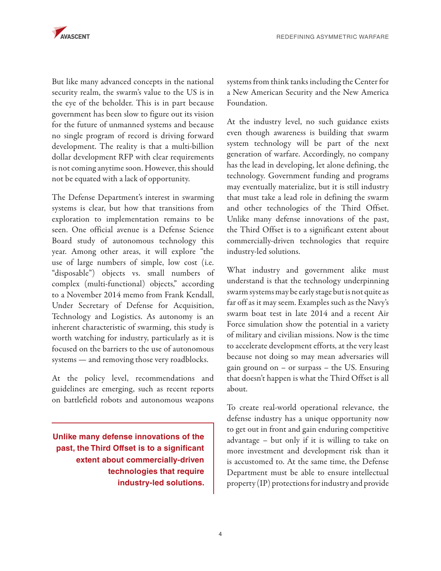

But like many advanced concepts in the national security realm, the swarm's value to the US is in the eye of the beholder. This is in part because government has been slow to figure out its vision for the future of unmanned systems and because no single program of record is driving forward development. The reality is that a multi-billion dollar development RFP with clear requirements is not coming anytime soon. However, this should not be equated with a lack of opportunity.

The Defense Department's interest in swarming systems is clear, but how that transitions from exploration to implementation remains to be seen. One official avenue is a Defense Science Board study of autonomous technology this year. Among other areas, it will explore "the use of large numbers of simple, low cost (i.e. "disposable") objects vs. small numbers of complex (multi-functional) objects," according to a November 2014 memo from Frank Kendall, Under Secretary of Defense for Acquisition, Technology and Logistics. As autonomy is an inherent characteristic of swarming, this study is worth watching for industry, particularly as it is focused on the barriers to the use of autonomous systems — and removing those very roadblocks.

At the policy level, recommendations and guidelines are emerging, such as recent reports on battlefield robots and autonomous weapons

**Unlike many defense innovations of the past, the Third Offset is to a significant extent about commercially-driven technologies that require industry-led solutions.** systems from think tanks including the Center for a New American Security and the New America Foundation.

At the industry level, no such guidance exists even though awareness is building that swarm system technology will be part of the next generation of warfare. Accordingly, no company has the lead in developing, let alone defining, the technology. Government funding and programs may eventually materialize, but it is still industry that must take a lead role in defining the swarm and other technologies of the Third Offset. Unlike many defense innovations of the past, the Third Offset is to a significant extent about commercially-driven technologies that require industry-led solutions.

What industry and government alike must understand is that the technology underpinning swarm systems may be early stage but is not quite as far off as it may seem. Examples such as the Navy's swarm boat test in late 2014 and a recent Air Force simulation show the potential in a variety of military and civilian missions. Now is the time to accelerate development efforts, at the very least because not doing so may mean adversaries will gain ground on – or surpass – the US. Ensuring that doesn't happen is what the Third Offset is all about.

To create real-world operational relevance, the defense industry has a unique opportunity now to get out in front and gain enduring competitive advantage – but only if it is willing to take on more investment and development risk than it is accustomed to. At the same time, the Defense Department must be able to ensure intellectual property (IP) protections for industry and provide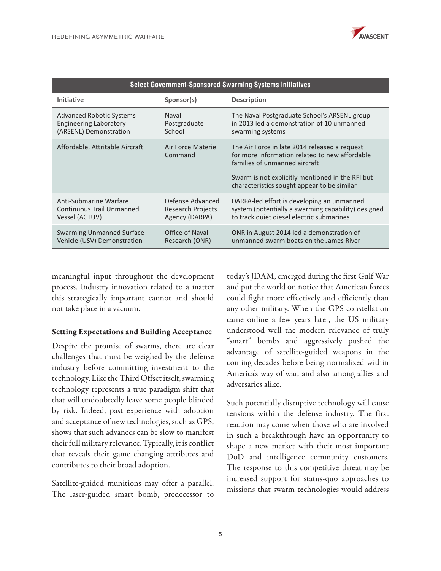

| <b>Select Government-Sponsored Swarming Systems Initiatives</b> |                               |                                                                                                                                                                                                                                     |
|-----------------------------------------------------------------|-------------------------------|-------------------------------------------------------------------------------------------------------------------------------------------------------------------------------------------------------------------------------------|
| <b>Initiative</b>                                               | Sponsor(s)                    | <b>Description</b>                                                                                                                                                                                                                  |
| Advanced Robotic Systems                                        | Naval                         | The Naval Postgraduate School's ARSENL group                                                                                                                                                                                        |
| <b>Engineering Laboratory</b>                                   | Postgraduate                  | in 2013 led a demonstration of 10 unmanned                                                                                                                                                                                          |
| (ARSENL) Demonstration                                          | School                        | swarming systems                                                                                                                                                                                                                    |
| Affordable, Attritable Aircraft                                 | Air Force Materiel<br>Command | The Air Force in late 2014 released a request<br>for more information related to new affordable<br>families of unmanned aircraft<br>Swarm is not explicitly mentioned in the RFI but<br>characteristics sought appear to be similar |
| Anti-Submarine Warfare                                          | Defense Advanced              | DARPA-led effort is developing an unmanned                                                                                                                                                                                          |
| Continuous Trail Unmanned                                       | Research Projects             | system (potentially a swarming capability) designed                                                                                                                                                                                 |
| Vessel (ACTUV)                                                  | Agency (DARPA)                | to track quiet diesel electric submarines                                                                                                                                                                                           |
| <b>Swarming Unmanned Surface</b>                                | Office of Naval               | ONR in August 2014 led a demonstration of                                                                                                                                                                                           |
| Vehicle (USV) Demonstration                                     | Research (ONR)                | unmanned swarm boats on the James River                                                                                                                                                                                             |

meaningful input throughout the development process. Industry innovation related to a matter this strategically important cannot and should not take place in a vacuum.

### Setting Expectations and Building Acceptance

Despite the promise of swarms, there are clear challenges that must be weighed by the defense industry before committing investment to the technology. Like the Third Offset itself, swarming technology represents a true paradigm shift that that will undoubtedly leave some people blinded by risk. Indeed, past experience with adoption and acceptance of new technologies, such as GPS, shows that such advances can be slow to manifest their full military relevance. Typically, it is conflict that reveals their game changing attributes and contributes to their broad adoption.

Satellite-guided munitions may offer a parallel. The laser-guided smart bomb, predecessor to

today's JDAM, emerged during the first Gulf War and put the world on notice that American forces could fight more effectively and efficiently than any other military. When the GPS constellation came online a few years later, the US military understood well the modern relevance of truly "smart" bombs and aggressively pushed the advantage of satellite-guided weapons in the coming decades before being normalized within America's way of war, and also among allies and adversaries alike.

Such potentially disruptive technology will cause tensions within the defense industry. The first reaction may come when those who are involved in such a breakthrough have an opportunity to shape a new market with their most important DoD and intelligence community customers. The response to this competitive threat may be increased support for status-quo approaches to missions that swarm technologies would address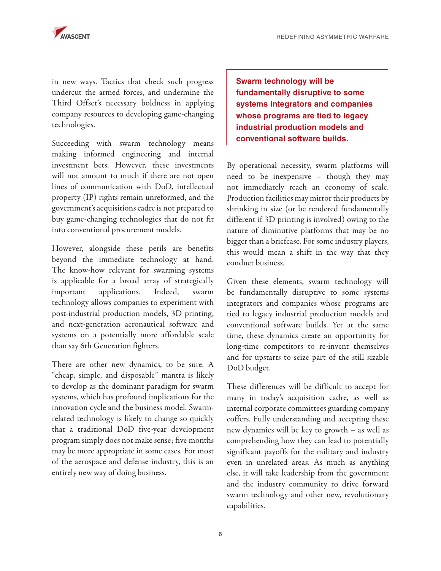in new ways. Tactics that check such progress undercut the armed forces, and undermine the Third Offset's necessary boldness in applying company resources to developing game-changing technologies.

Succeeding with swarm technology means making informed engineering and internal investment bets. However, these investments will not amount to much if there are not open lines of communication with DoD, intellectual property (IP) rights remain unreformed, and the government's acquisitions cadre is not prepared to buy game-changing technologies that do not fit into conventional procurement models.

However, alongside these perils are benefits beyond the immediate technology at hand. The know-how relevant for swarming systems is applicable for a broad array of strategically important applications. Indeed, swarm technology allows companies to experiment with post-industrial production models, 3D printing, and next-generation aeronautical software and systems on a potentially more affordable scale than say 6th Generation fighters.

There are other new dynamics, to be sure. A "cheap, simple, and disposable" mantra is likely to develop as the dominant paradigm for swarm systems, which has profound implications for the innovation cycle and the business model. Swarmrelated technology is likely to change so quickly that a traditional DoD five-year development program simply does not make sense; five months may be more appropriate in some cases. For most of the aerospace and defense industry, this is an entirely new way of doing business.

**Swarm technology will be fundamentally disruptive to some systems integrators and companies whose programs are tied to legacy industrial production models and conventional software builds.**

By operational necessity, swarm platforms will need to be inexpensive – though they may not immediately reach an economy of scale. Production facilities may mirror their products by shrinking in size (or be rendered fundamentally different if 3D printing is involved) owing to the nature of diminutive platforms that may be no bigger than a briefcase. For some industry players, this would mean a shift in the way that they conduct business.

Given these elements, swarm technology will be fundamentally disruptive to some systems integrators and companies whose programs are tied to legacy industrial production models and conventional software builds. Yet at the same time, these dynamics create an opportunity for long-time competitors to re-invent themselves and for upstarts to seize part of the still sizable DoD budget.

These differences will be difficult to accept for many in today's acquisition cadre, as well as internal corporate committees guarding company coffers. Fully understanding and accepting these new dynamics will be key to growth – as well as comprehending how they can lead to potentially significant payoffs for the military and industry even in unrelated areas. As much as anything else, it will take leadership from the government and the industry community to drive forward swarm technology and other new, revolutionary capabilities.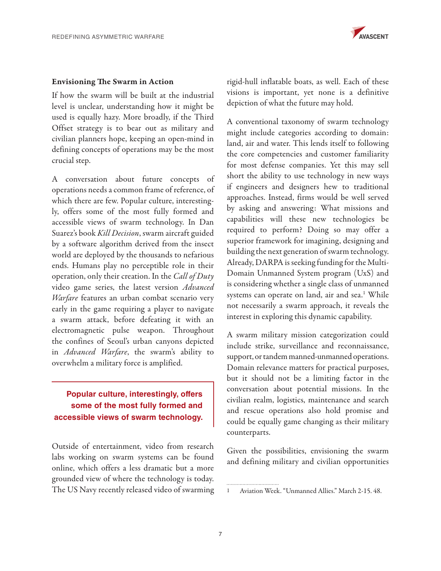

#### Envisioning The Swarm in Action

If how the swarm will be built at the industrial level is unclear, understanding how it might be used is equally hazy. More broadly, if the Third Offset strategy is to bear out as military and civilian planners hope, keeping an open-mind in defining concepts of operations may be the most crucial step.

A conversation about future concepts of operations needs a common frame of reference, of which there are few. Popular culture, interestingly, offers some of the most fully formed and accessible views of swarm technology. In Dan Suarez's book *Kill Decision*, swarm aircraft guided by a software algorithm derived from the insect world are deployed by the thousands to nefarious ends. Humans play no perceptible role in their operation, only their creation. In the *Call of Duty* video game series, the latest version *Advanced Warfare* features an urban combat scenario very early in the game requiring a player to navigate a swarm attack, before defeating it with an electromagnetic pulse weapon. Throughout the confines of Seoul's urban canyons depicted in *Advanced Warfare*, the swarm's ability to overwhelm a military force is amplified.

# **Popular culture, interestingly, offers some of the most fully formed and accessible views of swarm technology.**

Outside of entertainment, video from research labs working on swarm systems can be found online, which offers a less dramatic but a more grounded view of where the technology is today. The US Navy recently released video of swarming

rigid-hull inflatable boats, as well. Each of these visions is important, yet none is a definitive depiction of what the future may hold.

A conventional taxonomy of swarm technology might include categories according to domain: land, air and water. This lends itself to following the core competencies and customer familiarity for most defense companies. Yet this may sell short the ability to use technology in new ways if engineers and designers hew to traditional approaches. Instead, firms would be well served by asking and answering: What missions and capabilities will these new technologies be required to perform? Doing so may offer a superior framework for imagining, designing and building the next generation of swarm technology. Already, DARPA is seeking funding for the Multi-Domain Unmanned System program (UxS) and is considering whether a single class of unmanned systems can operate on land, air and sea.<sup>1</sup> While not necessarily a swarm approach, it reveals the interest in exploring this dynamic capability.

A swarm military mission categorization could include strike, surveillance and reconnaissance, support, or tandem manned-unmanned operations. Domain relevance matters for practical purposes, but it should not be a limiting factor in the conversation about potential missions. In the civilian realm, logistics, maintenance and search and rescue operations also hold promise and could be equally game changing as their military counterparts.

Given the possibilities, envisioning the swarm and defining military and civilian opportunities

<sup>1</sup> Aviation Week. "Unmanned Allies." March 2-15. 48.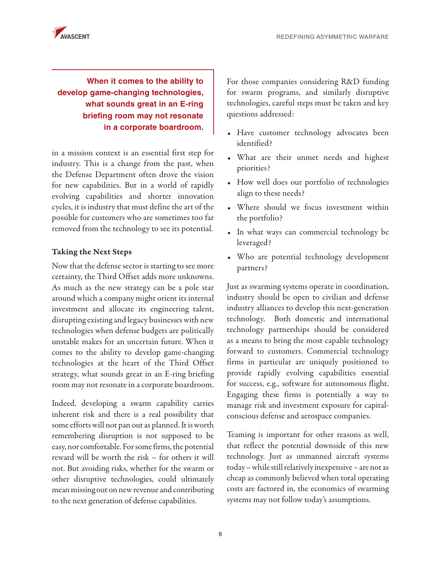

# **When it comes to the ability to develop game-changing technologies, what sounds great in an E-ring briefing room may not resonate in a corporate boardroom.**

in a mission context is an essential first step for industry. This is a change from the past, when the Defense Department often drove the vision for new capabilities. But in a world of rapidly evolving capabilities and shorter innovation cycles, it is industry that must define the art of the possible for customers who are sometimes too far removed from the technology to see its potential.

## Taking the Next Steps

Now that the defense sector is starting to see more certainty, the Third Offset adds more unknowns. As much as the new strategy can be a pole star around which a company might orient its internal investment and allocate its engineering talent, disrupting existing and legacy businesses with new technologies when defense budgets are politically unstable makes for an uncertain future. When it comes to the ability to develop game-changing technologies at the heart of the Third Offset strategy, what sounds great in an E-ring briefing room may not resonate in a corporate boardroom.

Indeed, developing a swarm capability carries inherent risk and there is a real possibility that some efforts will not pan out as planned. It is worth remembering disruption is not supposed to be easy, nor comfortable. For some firms, the potential reward will be worth the risk – for others it will not. But avoiding risks, whether for the swarm or other disruptive technologies, could ultimately mean missing out on new revenue and contributing to the next generation of defense capabilities.

For those companies considering R&D funding for swarm programs, and similarly disruptive technologies, careful steps must be taken and key questions addressed:

- Have customer technology advocates been identified?
- What are their unmet needs and highest priorities?
- How well does our portfolio of technologies align to these needs?
- Where should we focus investment within the portfolio?
- In what ways can commercial technology be leveraged?
- Who are potential technology development partners?

Just as swarming systems operate in coordination, industry should be open to civilian and defense industry alliances to develop this next-generation technology. Both domestic and international technology partnerships should be considered as a means to bring the most capable technology forward to customers. Commercial technology firms in particular are uniquely positioned to provide rapidly evolving capabilities essential for success, e.g., software for autonomous flight. Engaging these firms is potentially a way to manage risk and investment exposure for capitalconscious defense and aerospace companies.

Teaming is important for other reasons as well, that reflect the potential downside of this new technology. Just as unmanned aircraft systems today – while still relatively inexpensive – are not as cheap as commonly believed when total operating costs are factored in, the economics of swarming systems may not follow today's assumptions.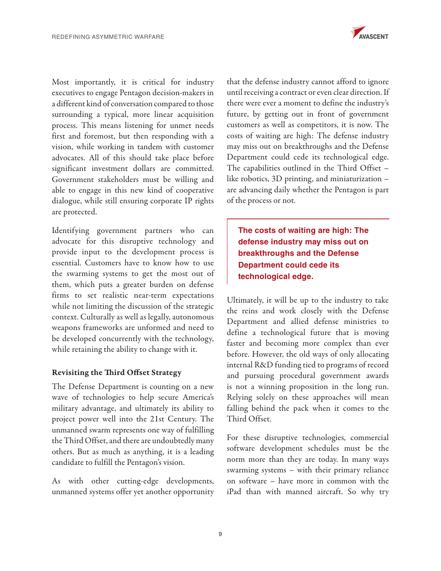

Most importantly, it is critical for industry executives to engage Pentagon decision-makers in a different kind of conversation compared to those surrounding a typical, more linear acquisition process. This means listening for unmet needs first and foremost, but then responding with a vision, while working in tandem with customer advocates. All of this should take place before significant investment dollars are committed. Government stakeholders must be willing and able to engage in this new kind of cooperative dialogue, while still ensuring corporate IP rights are protected.

Identifying government partners who can advocate for this disruptive technology and provide input to the development process is essential. Customers have to know how to use the swarming systems to get the most out of them, which puts a greater burden on defense firms to set realistic near-term expectations while not limiting the discussion of the strategic context. Culturally as well as legally, autonomous weapons frameworks are unformed and need to be developed concurrently with the technology, while retaining the ability to change with it.

## Revisiting the Third Offset Strategy

The Defense Department is counting on a new wave of technologies to help secure America's military advantage, and ultimately its ability to project power well into the 21st Century. The unmanned swarm represents one way of fulfilling the Third Offset, and there are undoubtedly many others. But as much as anything, it is a leading candidate to fulfill the Pentagon's vision.

As with other cutting-edge developments, unmanned systems offer yet another opportunity

that the defense industry cannot afford to ignore until receiving a contract or even clear direction. If there were ever a moment to define the industry's future, by getting out in front of government customers as well as competitors, it is now. The costs of waiting are high: The defense industry may miss out on breakthroughs and the Defense Department could cede its technological edge. The capabilities outlined in the Third Offset – like robotics, 3D printing, and miniaturization – are advancing daily whether the Pentagon is part of the process or not.

**The costs of waiting are high: The defense industry may miss out on breakthroughs and the Defense Department could cede its technological edge.**

Ultimately, it will be up to the industry to take the reins and work closely with the Defense Department and allied defense ministries to define a technological future that is moving faster and becoming more complex than ever before. However, the old ways of only allocating internal R&D funding tied to programs of record and pursuing procedural government awards is not a winning proposition in the long run. Relying solely on these approaches will mean falling behind the pack when it comes to the Third Offset.

For these disruptive technologies, commercial software development schedules must be the norm more than they are today. In many ways swarming systems – with their primary reliance on software – have more in common with the iPad than with manned aircraft. So why try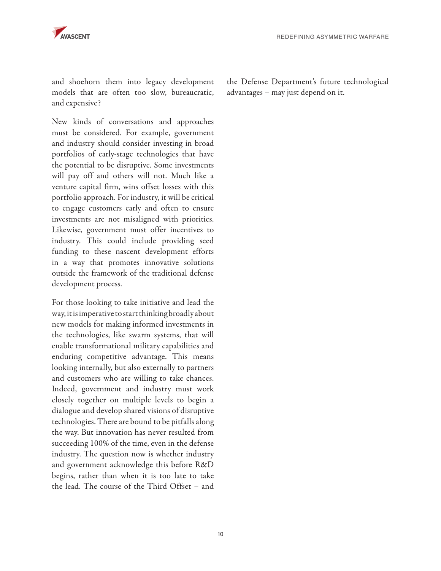

and shoehorn them into legacy development models that are often too slow, bureaucratic, and expensive?

New kinds of conversations and approaches must be considered. For example, government and industry should consider investing in broad portfolios of early-stage technologies that have the potential to be disruptive. Some investments will pay off and others will not. Much like a venture capital firm, wins offset losses with this portfolio approach. For industry, it will be critical to engage customers early and often to ensure investments are not misaligned with priorities. Likewise, government must offer incentives to industry. This could include providing seed funding to these nascent development efforts in a way that promotes innovative solutions outside the framework of the traditional defense development process.

For those looking to take initiative and lead the way, it is imperative to start thinking broadly about new models for making informed investments in the technologies, like swarm systems, that will enable transformational military capabilities and enduring competitive advantage. This means looking internally, but also externally to partners and customers who are willing to take chances. Indeed, government and industry must work closely together on multiple levels to begin a dialogue and develop shared visions of disruptive technologies. There are bound to be pitfalls along the way. But innovation has never resulted from succeeding 100% of the time, even in the defense industry. The question now is whether industry and government acknowledge this before R&D begins, rather than when it is too late to take the lead. The course of the Third Offset – and

the Defense Department's future technological advantages – may just depend on it.